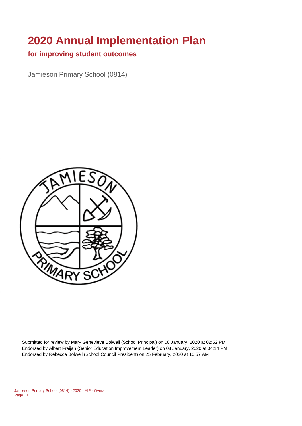# **2020 Annual Implementation Plan**

#### **for improving student outcomes**

Jamieson Primary School (0814)



Submitted for review by Mary Genevieve Bolwell (School Principal) on 08 January, 2020 at 02:52 PM Endorsed by Albert Freijah (Senior Education Improvement Leader) on 08 January, 2020 at 04:14 PM Endorsed by Rebecca Bolwell (School Council President) on 25 February, 2020 at 10:57 AM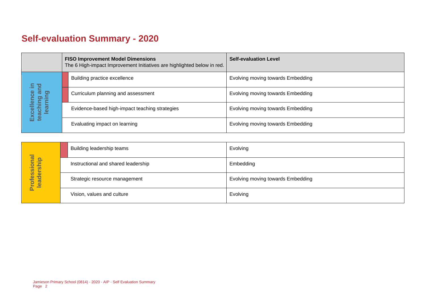## **Self-evaluation Summary - 2020**

|  |                                       | <b>FISO Improvement Model Dimensions</b><br>The 6 High-impact Improvement Initiatives are highlighted below in red. |                                                | <b>Self-evaluation Level</b>      |
|--|---------------------------------------|---------------------------------------------------------------------------------------------------------------------|------------------------------------------------|-----------------------------------|
|  | 르.                                    |                                                                                                                     | Building practice excellence                   | Evolving moving towards Embedding |
|  | an                                    |                                                                                                                     | Curriculum planning and assessment             | Evolving moving towards Embedding |
|  | Excellence<br>teaching an<br>learning |                                                                                                                     | Evidence-based high-impact teaching strategies | Evolving moving towards Embedding |
|  |                                       |                                                                                                                     | Evaluating impact on learning                  | Evolving moving towards Embedding |

|                            | Building leadership teams           | Evolving                          |
|----------------------------|-------------------------------------|-----------------------------------|
|                            | Instructional and shared leadership | Embedding                         |
| Professional<br>leadership | Strategic resource management       | Evolving moving towards Embedding |
|                            | Vision, values and culture          | Evolving                          |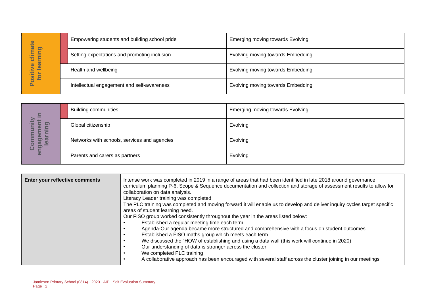|                                           | Empowering students and building school pride | <b>Emerging moving towards Evolving</b> |
|-------------------------------------------|-----------------------------------------------|-----------------------------------------|
| imate<br><b>p</b><br>.=<br>÷<br>ပ         | Setting expectations and promoting inclusion  | Evolving moving towards Embedding       |
| lear<br>$\bullet$<br><b>OSitiv</b><br>tor | Health and wellbeing                          | Evolving moving towards Embedding       |
| ൨                                         | Intellectual engagement and self-awareness    | Evolving moving towards Embedding       |

| -                                      | <b>Building communities</b>                  | <b>Emerging moving towards Evolving</b> |
|----------------------------------------|----------------------------------------------|-----------------------------------------|
| €<br>ာ<br>ൕ<br>$\sim$<br>▬             | Global citizenship                           | Evolving                                |
| $\omega$<br>וכ<br>_உ<br>enga<br>9<br>Ō | Networks with schools, services and agencies | Evolving                                |
|                                        | Parents and carers as partners               | Evolving                                |

|                                  |                                                                       | Empowering students and building school pride                                                                                                                                                                                                                                                                                                                                                                   | $\blacksquare$ Emerging moving towards $\blacksquare$ volving                                                                                                                                                                                                                                                                                                                                                                                                                                                                                                                                                                                                                       |  |
|----------------------------------|-----------------------------------------------------------------------|-----------------------------------------------------------------------------------------------------------------------------------------------------------------------------------------------------------------------------------------------------------------------------------------------------------------------------------------------------------------------------------------------------------------|-------------------------------------------------------------------------------------------------------------------------------------------------------------------------------------------------------------------------------------------------------------------------------------------------------------------------------------------------------------------------------------------------------------------------------------------------------------------------------------------------------------------------------------------------------------------------------------------------------------------------------------------------------------------------------------|--|
|                                  |                                                                       | Setting expectations and promoting inclusion                                                                                                                                                                                                                                                                                                                                                                    | Evolving moving towards Embedding                                                                                                                                                                                                                                                                                                                                                                                                                                                                                                                                                                                                                                                   |  |
| Positive climate<br>for learning | Health and wellbeing                                                  |                                                                                                                                                                                                                                                                                                                                                                                                                 | Evolving moving towards Embedding                                                                                                                                                                                                                                                                                                                                                                                                                                                                                                                                                                                                                                                   |  |
|                                  | Intellectual engagement and self-awareness                            |                                                                                                                                                                                                                                                                                                                                                                                                                 | Evolving moving towards Embedding                                                                                                                                                                                                                                                                                                                                                                                                                                                                                                                                                                                                                                                   |  |
|                                  |                                                                       |                                                                                                                                                                                                                                                                                                                                                                                                                 |                                                                                                                                                                                                                                                                                                                                                                                                                                                                                                                                                                                                                                                                                     |  |
|                                  | <b>Building communities</b>                                           |                                                                                                                                                                                                                                                                                                                                                                                                                 | Emerging moving towards Evolving                                                                                                                                                                                                                                                                                                                                                                                                                                                                                                                                                                                                                                                    |  |
| learning                         | Global citizenship                                                    |                                                                                                                                                                                                                                                                                                                                                                                                                 | Evolving                                                                                                                                                                                                                                                                                                                                                                                                                                                                                                                                                                                                                                                                            |  |
| engagement in<br>Community       |                                                                       | Networks with schools, services and agencies                                                                                                                                                                                                                                                                                                                                                                    | Evolving                                                                                                                                                                                                                                                                                                                                                                                                                                                                                                                                                                                                                                                                            |  |
|                                  | Parents and carers as partners                                        |                                                                                                                                                                                                                                                                                                                                                                                                                 | Evolving                                                                                                                                                                                                                                                                                                                                                                                                                                                                                                                                                                                                                                                                            |  |
|                                  |                                                                       |                                                                                                                                                                                                                                                                                                                                                                                                                 |                                                                                                                                                                                                                                                                                                                                                                                                                                                                                                                                                                                                                                                                                     |  |
| Enter your reflective comments   |                                                                       | collaboration on data analysis.<br>Literacy Leader training was completed<br>areas of student learning need.<br>Our FISO group worked consistently throughout the year in the areas listed below:<br>Established a regular meeting time each term<br>Established a FISO maths group which meets each term<br>Our understanding of data is stronger across the cluster<br>We completed PLC training<br>$\bullet$ | Intense work was completed in 2019 in a range of areas that had been identified in late 2018 around governance,<br>curriculum planning P-6, Scope & Sequence documentation and collection and storage of assessment results to allow for<br>The PLC training was completed and moving forward it will enable us to develop and deliver inquiry cycles target specific<br>Agenda-Our agenda became more structured and comprehensive with a focus on student outcomes<br>We discussed the "HOW of establishing and using a data wall (this work will continue in 2020)<br>A collaborative approach has been encouraged with several staff across the cluster joining in our meetings |  |
| Page 2                           | Jamieson Primary School (0814) - 2020 - AIP - Self Evaluation Summary |                                                                                                                                                                                                                                                                                                                                                                                                                 |                                                                                                                                                                                                                                                                                                                                                                                                                                                                                                                                                                                                                                                                                     |  |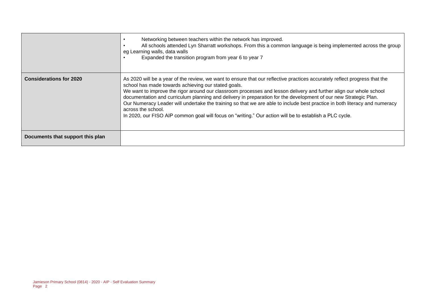|                                  | Networking between teachers within the network has improved.<br>All schools attended Lyn Sharratt workshops. From this a common language is being implemented across the group<br>eg Learning walls, data walls<br>Expanded the transition program from year 6 to year 7                                                                                                                                                                                                                                                                                                                                                                                                                   |  |
|----------------------------------|--------------------------------------------------------------------------------------------------------------------------------------------------------------------------------------------------------------------------------------------------------------------------------------------------------------------------------------------------------------------------------------------------------------------------------------------------------------------------------------------------------------------------------------------------------------------------------------------------------------------------------------------------------------------------------------------|--|
| <b>Considerations for 2020</b>   | As 2020 will be a year of the review, we want to ensure that our reflective practices accurately reflect progress that the<br>school has made towards achieving our stated goals.<br>We want to improve the rigor around our classroom processes and lesson delivery and further align our whole school<br>documentation and curriculum planning and delivery in preparation for the development of our new Strategic Plan.<br>Our Numeracy Leader will undertake the training so that we are able to include best practice in both literacy and numeracy<br>across the school.<br>In 2020, our FISO AIP common goal will focus on "writing." Our action will be to establish a PLC cycle. |  |
| Documents that support this plan |                                                                                                                                                                                                                                                                                                                                                                                                                                                                                                                                                                                                                                                                                            |  |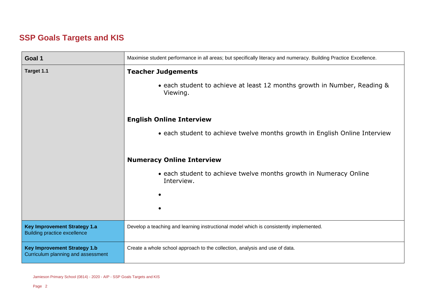### **SSP Goals Targets and KIS**

| Goal 1                                                                     | Maximise student performance in all areas; but specifically literacy and numeracy. Building Practice Excellence.    |  |  |  |
|----------------------------------------------------------------------------|---------------------------------------------------------------------------------------------------------------------|--|--|--|
| Target 1.1                                                                 | <b>Teacher Judgements</b><br>• each student to achieve at least 12 months growth in Number, Reading &<br>Viewing.   |  |  |  |
|                                                                            | <b>English Online Interview</b><br>• each student to achieve twelve months growth in English Online Interview       |  |  |  |
|                                                                            | <b>Numeracy Online Interview</b><br>• each student to achieve twelve months growth in Numeracy Online<br>Interview. |  |  |  |
| <b>Key Improvement Strategy 1.a</b><br><b>Building practice excellence</b> | Develop a teaching and learning instructional model which is consistently implemented.                              |  |  |  |
| <b>Key Improvement Strategy 1.b</b><br>Curriculum planning and assessment  | Create a whole school approach to the collection, analysis and use of data.                                         |  |  |  |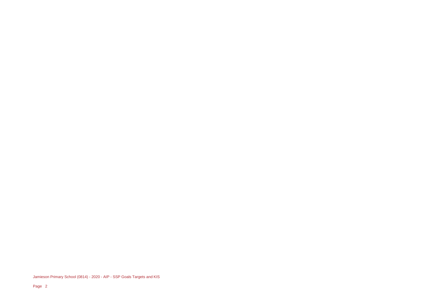Jamieson Primary School (0814) - 2020 - AIP - SSP Goals Targets and KIS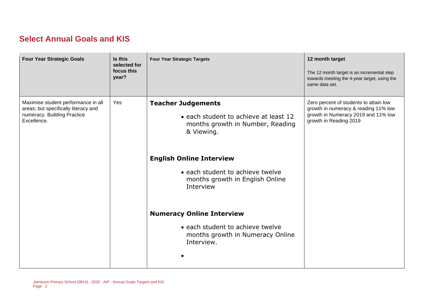#### **Select Annual Goals and KIS**

| <b>Four Year Strategic Goals</b>                                                                                          | Is this<br>selected for<br>focus this<br>year? | <b>Four Year Strategic Targets</b>                                                                                     | 12 month target<br>The 12 month target is an incremental step<br>towards meeting the 4-year target, using the<br>same data set.                 |
|---------------------------------------------------------------------------------------------------------------------------|------------------------------------------------|------------------------------------------------------------------------------------------------------------------------|-------------------------------------------------------------------------------------------------------------------------------------------------|
| Maximise student performance in all<br>areas; but specifically literacy and<br>numeracy. Building Practice<br>Excellence. | Yes                                            | <b>Teacher Judgements</b><br>• each student to achieve at least 12<br>months growth in Number, Reading<br>& Viewing.   | Zero percent of students to attain low<br>growth in numeracy & reading 11% low<br>growth in Numeracy 2019 and 11% low<br>growth in Reading 2019 |
|                                                                                                                           |                                                | <b>English Online Interview</b><br>• each student to achieve twelve<br>months growth in English Online<br>Interview    |                                                                                                                                                 |
|                                                                                                                           |                                                | <b>Numeracy Online Interview</b><br>• each student to achieve twelve<br>months growth in Numeracy Online<br>Interview. |                                                                                                                                                 |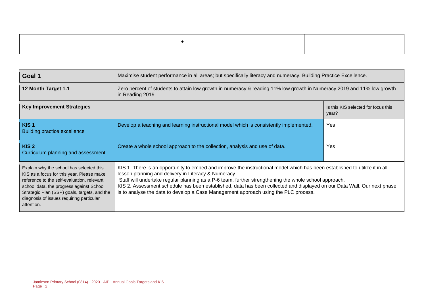| Goal 1                                                                                                                                                                                                                                                                                    | Maximise student performance in all areas; but specifically literacy and numeracy. Building Practice Excellence.                                                                                                                                                                                                                                                                                                                                                                                               |                                              |  |  |
|-------------------------------------------------------------------------------------------------------------------------------------------------------------------------------------------------------------------------------------------------------------------------------------------|----------------------------------------------------------------------------------------------------------------------------------------------------------------------------------------------------------------------------------------------------------------------------------------------------------------------------------------------------------------------------------------------------------------------------------------------------------------------------------------------------------------|----------------------------------------------|--|--|
| 12 Month Target 1.1                                                                                                                                                                                                                                                                       | Zero percent of students to attain low growth in numeracy & reading 11% low growth in Numeracy 2019 and 11% low growth<br>in Reading 2019                                                                                                                                                                                                                                                                                                                                                                      |                                              |  |  |
| <b>Key Improvement Strategies</b>                                                                                                                                                                                                                                                         |                                                                                                                                                                                                                                                                                                                                                                                                                                                                                                                | Is this KIS selected for focus this<br>year? |  |  |
| KIS <sub>1</sub><br><b>Building practice excellence</b>                                                                                                                                                                                                                                   | Develop a teaching and learning instructional model which is consistently implemented.                                                                                                                                                                                                                                                                                                                                                                                                                         | Yes                                          |  |  |
| KIS <sub>2</sub><br>Curriculum planning and assessment                                                                                                                                                                                                                                    | Create a whole school approach to the collection, analysis and use of data.                                                                                                                                                                                                                                                                                                                                                                                                                                    | Yes                                          |  |  |
| Explain why the school has selected this<br>KIS as a focus for this year. Please make<br>reference to the self-evaluation, relevant<br>school data, the progress against School<br>Strategic Plan (SSP) goals, targets, and the<br>diagnosis of issues requiring particular<br>attention. | KIS 1. There is an opportunity to embed and improve the instructional model which has been established to utilize it in all<br>lesson planning and delivery in Literacy & Numeracy.<br>Staff will undertake regular planning as a P-6 team, further strengthening the whole school approach.<br>KIS 2. Assessment schedule has been established, data has been collected and displayed on our Data Wall. Our next phase<br>is to analyse the data to develop a Case Management approach using the PLC process. |                                              |  |  |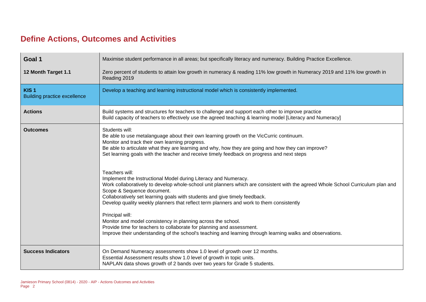#### **Define Actions, Outcomes and Activities**

| Goal 1                                                  | Maximise student performance in all areas; but specifically literacy and numeracy. Building Practice Excellence.                                                                                                                                                                                                                                                                                                                                                                                                                                                                                                                                                                                                                                                                                                                                                                                                                                                                                                                                                           |  |  |  |
|---------------------------------------------------------|----------------------------------------------------------------------------------------------------------------------------------------------------------------------------------------------------------------------------------------------------------------------------------------------------------------------------------------------------------------------------------------------------------------------------------------------------------------------------------------------------------------------------------------------------------------------------------------------------------------------------------------------------------------------------------------------------------------------------------------------------------------------------------------------------------------------------------------------------------------------------------------------------------------------------------------------------------------------------------------------------------------------------------------------------------------------------|--|--|--|
| 12 Month Target 1.1                                     | Zero percent of students to attain low growth in numeracy & reading 11% low growth in Numeracy 2019 and 11% low growth in<br>Reading 2019                                                                                                                                                                                                                                                                                                                                                                                                                                                                                                                                                                                                                                                                                                                                                                                                                                                                                                                                  |  |  |  |
| KIS <sub>1</sub><br><b>Building practice excellence</b> | Develop a teaching and learning instructional model which is consistently implemented.                                                                                                                                                                                                                                                                                                                                                                                                                                                                                                                                                                                                                                                                                                                                                                                                                                                                                                                                                                                     |  |  |  |
| <b>Actions</b>                                          | Build systems and structures for teachers to challenge and support each other to improve practice<br>Build capacity of teachers to effectively use the agreed teaching & learning model [Literacy and Numeracy]                                                                                                                                                                                                                                                                                                                                                                                                                                                                                                                                                                                                                                                                                                                                                                                                                                                            |  |  |  |
| <b>Outcomes</b>                                         | Students will:<br>Be able to use metalanguage about their own learning growth on the VicCurric continuum.<br>Monitor and track their own learning progress.<br>Be able to articulate what they are learning and why, how they are going and how they can improve?<br>Set learning goals with the teacher and receive timely feedback on progress and next steps<br>Teachers will:<br>Implement the Instructional Model during Literacy and Numeracy.<br>Work collaboratively to develop whole-school unit planners which are consistent with the agreed Whole School Curriculum plan and<br>Scope & Sequence document.<br>Collaboratively set learning goals with students and give timely feedback.<br>Develop quality weekly planners that reflect term planners and work to them consistently<br>Principal will:<br>Monitor and model consistency in planning across the school.<br>Provide time for teachers to collaborate for planning and assessment.<br>Improve their understanding of the school's teaching and learning through learning walks and observations. |  |  |  |
| <b>Success Indicators</b>                               | On Demand Numeracy assessments show 1.0 level of growth over 12 months.<br>Essential Assessment results show 1.0 level of growth in topic units.<br>NAPLAN data shows growth of 2 bands over two years for Grade 5 students.                                                                                                                                                                                                                                                                                                                                                                                                                                                                                                                                                                                                                                                                                                                                                                                                                                               |  |  |  |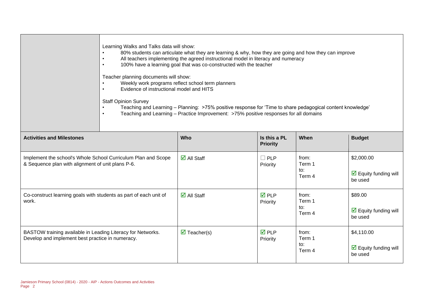|                                                                                                                    | Learning Walks and Talks data will show:<br>Teacher planning documents will show:<br>Evidence of instructional model and HITS<br><b>Staff Opinion Survey</b><br>$\bullet$ | 80% students can articulate what they are learning & why, how they are going and how they can improve<br>All teachers implementing the agreed instructional model in literacy and numeracy<br>100% have a learning goal that was co-constructed with the teacher<br>Weekly work programs reflect school term planners<br>Teaching and Learning - Planning: >75% positive response for 'Time to share pedagogical content knowledge'<br>Teaching and Learning - Practice Improvement: >75% positive responses for all domains |                                 |                                  |                                                                      |
|--------------------------------------------------------------------------------------------------------------------|---------------------------------------------------------------------------------------------------------------------------------------------------------------------------|------------------------------------------------------------------------------------------------------------------------------------------------------------------------------------------------------------------------------------------------------------------------------------------------------------------------------------------------------------------------------------------------------------------------------------------------------------------------------------------------------------------------------|---------------------------------|----------------------------------|----------------------------------------------------------------------|
| <b>Activities and Milestones</b>                                                                                   |                                                                                                                                                                           | Who                                                                                                                                                                                                                                                                                                                                                                                                                                                                                                                          | Is this a PL<br><b>Priority</b> | When                             | <b>Budget</b>                                                        |
| Implement the school's Whole School Curriculum Plan and Scope<br>& Sequence plan with alignment of unit plans P-6. |                                                                                                                                                                           | $\overline{\mathbf{M}}$ All Staff                                                                                                                                                                                                                                                                                                                                                                                                                                                                                            | $\Box$ PLP<br>Priority          | from:<br>Term 1<br>to:<br>Term 4 | \$2,000.00<br>$\overline{\mathbf{M}}$ Equity funding will<br>be used |
| Co-construct learning goals with students as part of each unit of<br>work.                                         |                                                                                                                                                                           | $\overline{\mathbf{M}}$ All Staff                                                                                                                                                                                                                                                                                                                                                                                                                                                                                            | $\overline{M}$ PLP<br>Priority  | from:<br>Term 1<br>to:<br>Term 4 | \$89.00<br>$\triangleright$ Equity funding will<br>be used           |
| BASTOW training available in Leading Literacy for Networks.<br>Develop and implement best practice in numeracy.    |                                                                                                                                                                           | $\overline{\mathbf{M}}$ Teacher(s)                                                                                                                                                                                                                                                                                                                                                                                                                                                                                           | $\overline{M}$ PLP<br>Priority  | from:<br>Term 1<br>to:<br>Term 4 | \$4,110.00<br>$\triangleright$ Equity funding will<br>be used        |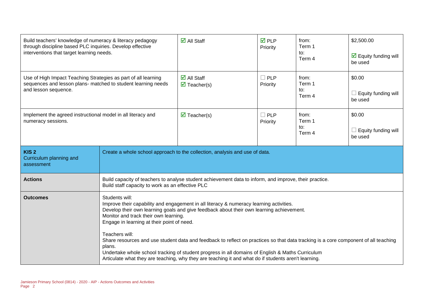| Build teachers' knowledge of numeracy & literacy pedagogy<br>through discipline based PLC inquiries. Develop effective<br>interventions that target learning needs. |                                                                                                                                                                                                                                                                                                                                                                                                                                                       | $\overline{\mathbf{M}}$ All Staff                                                                      | $\overline{M}$ PLP<br>Priority | from:<br>Term 1<br>to:<br>Term 4 | \$2,500.00<br>$\triangleright$ Equity funding will<br>be used |
|---------------------------------------------------------------------------------------------------------------------------------------------------------------------|-------------------------------------------------------------------------------------------------------------------------------------------------------------------------------------------------------------------------------------------------------------------------------------------------------------------------------------------------------------------------------------------------------------------------------------------------------|--------------------------------------------------------------------------------------------------------|--------------------------------|----------------------------------|---------------------------------------------------------------|
| Use of High Impact Teaching Strategies as part of all learning<br>sequences and lesson plans- matched to student learning needs<br>and lesson sequence.             |                                                                                                                                                                                                                                                                                                                                                                                                                                                       | $\overline{\mathsf{M}}$ All Staff<br>$\overline{\mathbf{M}}$ Teacher(s)                                | $\Box$ PLP<br>Priority         | from:<br>Term 1<br>to:<br>Term 4 | \$0.00<br>Equity funding will<br>be used                      |
| Implement the agreed instructional model in all literacy and<br>numeracy sessions.                                                                                  |                                                                                                                                                                                                                                                                                                                                                                                                                                                       | $\triangledown$ Teacher(s)                                                                             | $\Box$ PLP<br>Priority         | from:<br>Term 1<br>to:<br>Term 4 | \$0.00<br>Equity funding will<br>be used                      |
| KIS <sub>2</sub><br>Curriculum planning and<br>assessment                                                                                                           | Create a whole school approach to the collection, analysis and use of data.                                                                                                                                                                                                                                                                                                                                                                           |                                                                                                        |                                |                                  |                                                               |
| <b>Actions</b>                                                                                                                                                      | Build staff capacity to work as an effective PLC                                                                                                                                                                                                                                                                                                                                                                                                      | Build capacity of teachers to analyse student achievement data to inform, and improve, their practice. |                                |                                  |                                                               |
| <b>Outcomes</b>                                                                                                                                                     | Students will:<br>Improve their capability and engagement in all literacy & numeracy learning activities.<br>Develop their own learning goals and give feedback about their own learning achievement.<br>Monitor and track their own learning.<br>Engage in learning at their point of need.<br>Teachers will:<br>Share resources and use student data and feedback to reflect on practices so that data tracking is a core component of all teaching |                                                                                                        |                                |                                  |                                                               |
|                                                                                                                                                                     | plans.<br>Undertake whole school tracking of student progress in all domains of English & Maths Curriculum<br>Articulate what they are teaching, why they are teaching it and what do if students aren't learning.                                                                                                                                                                                                                                    |                                                                                                        |                                |                                  |                                                               |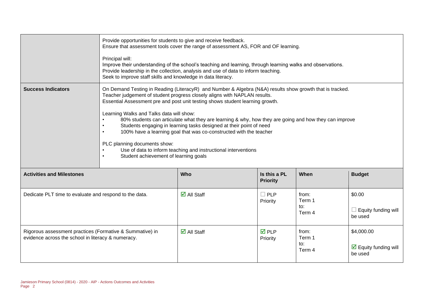|                                                                                                                | Provide opportunities for students to give and receive feedback.<br>Ensure that assessment tools cover the range of assessment AS, FOR and OF learning. |                                                                                                                                                                                                                                                                                                                                                                                                                                                                                                                                                                                                                                                                                                                     |                                 |                                  |                                                               |  |  |  |
|----------------------------------------------------------------------------------------------------------------|---------------------------------------------------------------------------------------------------------------------------------------------------------|---------------------------------------------------------------------------------------------------------------------------------------------------------------------------------------------------------------------------------------------------------------------------------------------------------------------------------------------------------------------------------------------------------------------------------------------------------------------------------------------------------------------------------------------------------------------------------------------------------------------------------------------------------------------------------------------------------------------|---------------------------------|----------------------------------|---------------------------------------------------------------|--|--|--|
|                                                                                                                | Principal will:                                                                                                                                         | Improve their understanding of the school's teaching and learning, through learning walks and observations.<br>Provide leadership in the collection, analysis and use of data to inform teaching.<br>Seek to improve staff skills and knowledge in data literacy.                                                                                                                                                                                                                                                                                                                                                                                                                                                   |                                 |                                  |                                                               |  |  |  |
| <b>Success Indicators</b>                                                                                      | $\bullet$                                                                                                                                               | On Demand Testing in Reading (LiteracyR) and Number & Algebra (N&A) results show growth that is tracked.<br>Teacher judgement of student progress closely aligns with NAPLAN results.<br>Essential Assessment pre and post unit testing shows student learning growth.<br>Learning Walks and Talks data will show:<br>80% students can articulate what they are learning & why, how they are going and how they can improve<br>Students engaging in learning tasks designed at their point of need<br>100% have a learning goal that was co-constructed with the teacher<br>PLC planning documents show:<br>Use of data to inform teaching and instructional interventions<br>Student achievement of learning goals |                                 |                                  |                                                               |  |  |  |
| <b>Activities and Milestones</b>                                                                               |                                                                                                                                                         | Who                                                                                                                                                                                                                                                                                                                                                                                                                                                                                                                                                                                                                                                                                                                 | Is this a PL<br><b>Priority</b> | When                             | <b>Budget</b>                                                 |  |  |  |
| Dedicate PLT time to evaluate and respond to the data.                                                         |                                                                                                                                                         | $\overline{\mathbf{M}}$ All Staff                                                                                                                                                                                                                                                                                                                                                                                                                                                                                                                                                                                                                                                                                   | $\square$ PLP<br>Priority       | from:<br>Term 1<br>to:<br>Term 4 | \$0.00<br>$\Box$ Equity funding will<br>be used               |  |  |  |
| Rigorous assessment practices (Formative & Summative) in<br>evidence across the school in literacy & numeracy. |                                                                                                                                                         | $\overline{\blacksquare}$ All Staff                                                                                                                                                                                                                                                                                                                                                                                                                                                                                                                                                                                                                                                                                 | $\overline{M}$ PLP<br>Priority  | from:<br>Term 1<br>to:<br>Term 4 | \$4,000.00<br>$\triangleright$ Equity funding will<br>be used |  |  |  |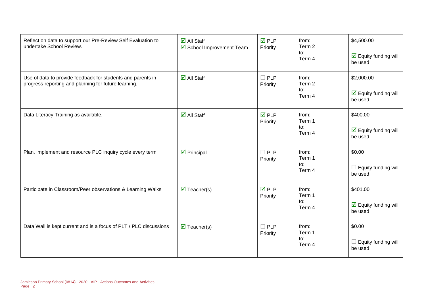| Reflect on data to support our Pre-Review Self Evaluation to<br>undertake School Review.                            | $\overline{\mathsf{M}}$ All Staff<br>☑ School Improvement Team | $\overline{M}$ PLP<br>Priority | from:<br>Term 2<br>to:<br>Term 4 | \$4,500.00<br>$\overline{\mathbf{M}}$ Equity funding will<br>be used |
|---------------------------------------------------------------------------------------------------------------------|----------------------------------------------------------------|--------------------------------|----------------------------------|----------------------------------------------------------------------|
| Use of data to provide feedback for students and parents in<br>progress reporting and planning for future learning. | $\overline{\mathsf{d}}$ All Staff                              | $\Box$ PLP<br>Priority         | from:<br>Term 2<br>to:<br>Term 4 | \$2,000.00<br>$\overline{\mathbf{M}}$ Equity funding will<br>be used |
| Data Literacy Training as available.                                                                                | $\overline{\Box}$ All Staff                                    | $\overline{M}$ PLP<br>Priority | from:<br>Term 1<br>to:<br>Term 4 | \$400.00<br>$\overline{\mathbf{M}}$ Equity funding will<br>be used   |
| Plan, implement and resource PLC inquiry cycle every term                                                           | $\triangleright$ Principal                                     | $\Box$ PLP<br>Priority         | from:<br>Term 1<br>to:<br>Term 4 | \$0.00<br>Equity funding will<br>be used                             |
| Participate in Classroom/Peer observations & Learning Walks                                                         | $\triangledown$ Teacher(s)                                     | <b>ØPLP</b><br>Priority        | from:<br>Term 1<br>to:<br>Term 4 | \$401.00<br>$\overline{\mathbf{y}}$ Equity funding will<br>be used   |
| Data Wall is kept current and is a focus of PLT / PLC discussions                                                   | $\triangledown$ Teacher(s)                                     | $\Box$ PLP<br>Priority         | from:<br>Term 1<br>to:<br>Term 4 | \$0.00<br>Equity funding will<br>be used                             |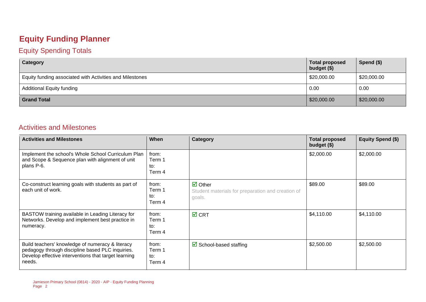#### **Equity Funding Planner**

#### Equity Spending Totals

| Category                                                 | <b>Total proposed</b><br>budget (\$) | Spend (\$)  |
|----------------------------------------------------------|--------------------------------------|-------------|
| Equity funding associated with Activities and Milestones | \$20,000.00                          | \$20,000.00 |
| <b>Additional Equity funding</b>                         | 0.00                                 | 0.00        |
| <b>Grand Total</b>                                       | \$20,000.00                          | \$20,000.00 |

#### Activities and Milestones

| <b>Activities and Milestones</b>                                                                                                                                       | When                             | Category                                                                                     | <b>Total proposed</b><br>budget (\$) | <b>Equity Spend (\$)</b> |
|------------------------------------------------------------------------------------------------------------------------------------------------------------------------|----------------------------------|----------------------------------------------------------------------------------------------|--------------------------------------|--------------------------|
| Implement the school's Whole School Curriculum Plan<br>and Scope & Sequence plan with alignment of unit<br>plans P-6.                                                  | from:<br>Term 1<br>to:<br>Term 4 |                                                                                              | \$2,000.00                           | \$2,000.00               |
| Co-construct learning goals with students as part of<br>each unit of work.                                                                                             | from:<br>Term 1<br>to:<br>Term 4 | $\overline{\mathsf{M}}$ Other<br>Student materials for preparation and creation of<br>goals. | \$89.00                              | \$89.00                  |
| BASTOW training available in Leading Literacy for<br>Networks. Develop and implement best practice in<br>numeracy.                                                     | from:<br>Term 1<br>to:<br>Term 4 | $\overline{M}$ CRT                                                                           | \$4,110.00                           | \$4,110.00               |
| Build teachers' knowledge of numeracy & literacy<br>pedagogy through discipline based PLC inquiries.<br>Develop effective interventions that target learning<br>needs. | from:<br>Term 1<br>to:<br>Term 4 | $\boxtimes$ School-based staffing                                                            | \$2,500.00                           | \$2,500.00               |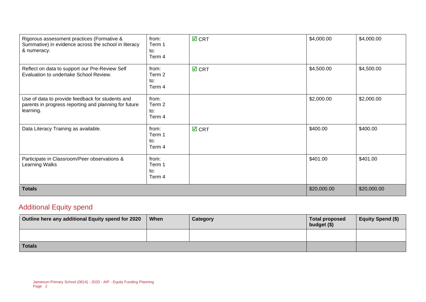| Rigorous assessment practices (Formative &<br>Summative) in evidence across the school in literacy<br>& numeracy.      | from:<br>Term 1<br>to:<br>Term 4 | $\overline{M}$ CRT          | \$4,000.00 | \$4,000.00 |
|------------------------------------------------------------------------------------------------------------------------|----------------------------------|-----------------------------|------------|------------|
| Reflect on data to support our Pre-Review Self<br>Evaluation to undertake School Review.                               | from:<br>Term 2<br>to:<br>Term 4 | $\overline{M}$ CRT          | \$4,500.00 | \$4,500.00 |
| Use of data to provide feedback for students and<br>parents in progress reporting and planning for future<br>learning. | from:<br>Term 2<br>to:<br>Term 4 |                             | \$2,000.00 | \$2,000.00 |
| Data Literacy Training as available.                                                                                   | from:<br>Term 1<br>to:<br>Term 4 | $\overline{\mathsf{M}}$ CRT | \$400.00   | \$400.00   |
| Participate in Classroom/Peer observations &<br>Learning Walks                                                         | from:<br>Term 1<br>to:<br>Term 4 |                             | \$401.00   | \$401.00   |
| <b>Totals</b>                                                                                                          | \$20,000.00                      | \$20,000.00                 |            |            |

#### Additional Equity spend

| Outline here any additional Equity spend for 2020 | <b>When</b> | Category | <b>Total proposed</b><br>budget $($)$ | <b>Equity Spend (\$)</b> |
|---------------------------------------------------|-------------|----------|---------------------------------------|--------------------------|
|                                                   |             |          |                                       |                          |
| Totals                                            |             |          |                                       |                          |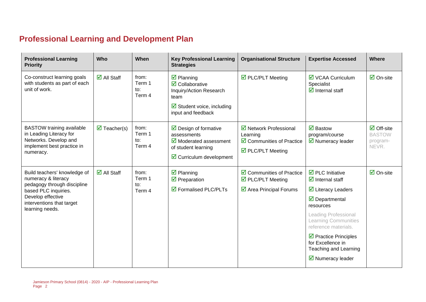### **Professional Learning and Development Plan**

| <b>Professional Learning</b><br><b>Priority</b>                                                                                 | <b>Who</b>                         | When                                        | <b>Key Professional Learning</b><br><b>Strategies</b>                                                                                                          | <b>Organisational Structure</b>                                                              | <b>Expertise Accessed</b>                                                                   | <b>Where</b>                                             |
|---------------------------------------------------------------------------------------------------------------------------------|------------------------------------|---------------------------------------------|----------------------------------------------------------------------------------------------------------------------------------------------------------------|----------------------------------------------------------------------------------------------|---------------------------------------------------------------------------------------------|----------------------------------------------------------|
| Co-construct learning goals<br>with students as part of each<br>unit of work.                                                   | $\overline{\Box}$ All Staff        | from:<br>Term 1<br>to:<br>Term 4            | $\boxtimes$ Planning<br>$\overline{\mathbf{z}}$ Collaborative<br>Inquiry/Action Research<br>team<br>$\boxtimes$ Student voice, including<br>input and feedback | ☑ PLC/PLT Meeting                                                                            | $\boxtimes$ VCAA Curriculum<br>Specialist<br>$\overline{\mathbf{M}}$ Internal staff         | $\overline{\mathsf{M}}$ On-site                          |
| <b>BASTOW</b> training available<br>in Leading Literacy for<br>Networks. Develop and<br>implement best practice in<br>numeracy. | $\overline{\mathbf{M}}$ Teacher(s) | from:<br>Term 1<br>$\mathsf{to}:$<br>Term 4 | $\triangleright$ Design of formative<br>assessments<br>$\boxtimes$ Moderated assessment<br>of student learning<br>$\boxtimes$ Curriculum development           | ■ Network Professional<br>Learning<br>$\boxdot$ Communities of Practice<br>☑ PLC/PLT Meeting | $\overline{\mathbf{z}}$ Bastow<br>program/course<br>$\overline{\mathbf{y}}$ Numeracy leader | $\boxdot$ Off-site<br><b>BASTOW</b><br>program-<br>NEVR. |
| Build teachers' knowledge of<br>numeracy & literacy                                                                             | $\overline{\triangle}$ All Staff   | from:<br>Term 1                             | $\overline{\mathbf{z}}$ Planning<br>$\triangledown$ Preparation                                                                                                | $\boxdot$ Communities of Practice<br>☑ PLC/PLT Meeting                                       | $\overline{\mathbf{Z}}$ PLC Initiative<br>$\overline{\mathbf{z}}$ Internal staff            | $\overline{\mathsf{M}}$ On-site                          |
| pedagogy through discipline<br>based PLC inquiries.                                                                             |                                    | to:<br>Term 4                               | $\boxtimes$ Formalised PLC/PLTs                                                                                                                                | ☑ Area Principal Forums                                                                      | $\triangleright$ Literacy Leaders                                                           |                                                          |
| Develop effective<br>interventions that target<br>learning needs.                                                               |                                    |                                             |                                                                                                                                                                |                                                                                              | $\overline{\mathbf{y}}$ Departmental<br>resources                                           |                                                          |
|                                                                                                                                 |                                    |                                             |                                                                                                                                                                |                                                                                              | <b>Leading Professional</b><br><b>Learning Communities</b><br>reference materials.          |                                                          |
|                                                                                                                                 |                                    |                                             |                                                                                                                                                                |                                                                                              | $\triangleright$ Practice Principles<br>for Excellence in<br>Teaching and Learning          |                                                          |
|                                                                                                                                 |                                    |                                             |                                                                                                                                                                |                                                                                              | $\boxtimes$ Numeracy leader                                                                 |                                                          |